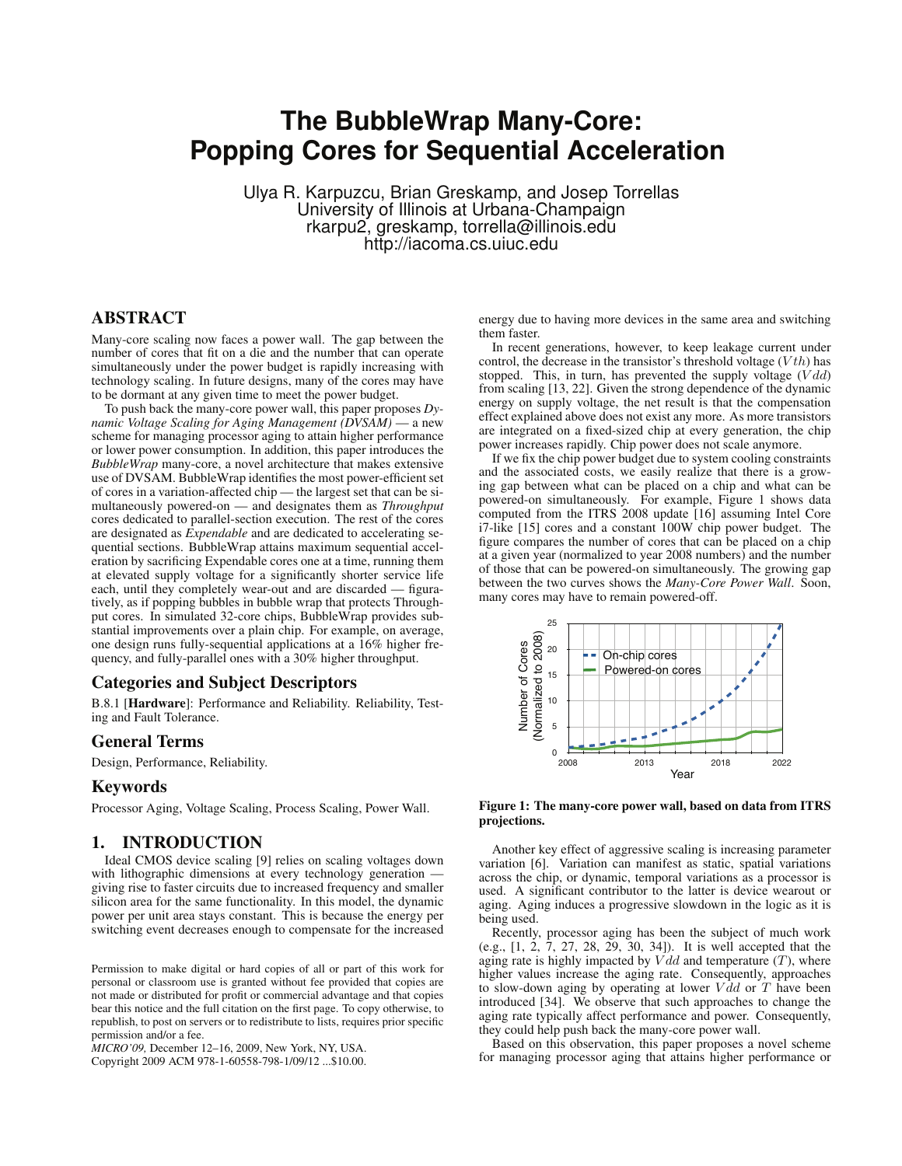# **The BubbleWrap Many-Core:**<br>Popping Cores for Sequential Acceleration **Popping Cores for Sequential Acceleration**

Ulya R. Karpuzcu, Brian Greskamp, and Josep Torrellas University of Illinois at Urbana-Champaign rkarpu2, greskamp, torrella@illinois.edu http://iacoma.cs.uiuc.edu

# ABSTRACT

Many-core scaling now faces a power wall. The gap between the number of cores that fit on a die and the number that can operate simultaneously under the power budget is rapidly increasing with technology scaling. In future designs, many of the cores may have to be dormant at any given time to meet the power budget.

To push back the many-core power wall, this paper proposes *Dynamic Voltage Scaling for Aging Management (DVSAM)* — a new scheme for managing processor aging to attain higher performance or lower power consumption. In addition, this paper introduces the *BubbleWrap* many-core, a novel architecture that makes extensive use of DVSAM. BubbleWrap identifies the most power-efficient set of cores in a variation-affected chip — the largest set that can be simultaneously powered-on — and designates them as *Throughput* cores dedicated to parallel-section execution. The rest of the cores are designated as *Expendable* and are dedicated to accelerating sequential sections. BubbleWrap attains maximum sequential acceleration by sacrificing Expendable cores one at a time, running them at elevated supply voltage for a significantly shorter service life each, until they completely wear-out and are discarded — figuratively, as if popping bubbles in bubble wrap that protects Throughput cores. In simulated 32-core chips, BubbleWrap provides substantial improvements over a plain chip. For example, on average, one design runs fully-sequential applications at a 16% higher frequency, and fully-parallel ones with a 30% higher throughput.

#### Categories and Subject Descriptors

B.8.1 [Hardware]: Performance and Reliability. Reliability, Testing and Fault Tolerance.

## General Terms

Design, Performance, Reliability.

#### Keywords

Processor Aging, Voltage Scaling, Process Scaling, Power Wall.

## 1. INTRODUCTION

Ideal CMOS device scaling [9] relies on scaling voltages down with lithographic dimensions at every technology generation giving rise to faster circuits due to increased frequency and smaller silicon area for the same functionality. In this model, the dynamic power per unit area stays constant. This is because the energy per switching event decreases enough to compensate for the increased

Permission to make digital or hard copies of all or part of this work for personal or classroom use is granted without fee provided that copies are not made or distributed for profit or commercial advantage and that copies bear this notice and the full citation on the first page. To copy otherwise, to republish, to post on servers or to redistribute to lists, requires prior specific permission and/or a fee.

*MICRO'09,* December 12–16, 2009, New York, NY, USA.

Copyright 2009 ACM 978-1-60558-798-1/09/12 ...\$10.00.

energy due to having more devices in the same area and switching them faster.

In recent generations, however, to keep leakage current under control, the decrease in the transistor's threshold voltage  $(Vth)$  has stopped. This, in turn, has prevented the supply voltage  $(Vdd)$ from scaling [13, 22]. Given the strong dependence of the dynamic energy on supply voltage, the net result is that the compensation effect explained above does not exist any more. As more transistors are integrated on a fixed-sized chip at every generation, the chip power increases rapidly. Chip power does not scale anymore.

If we fix the chip power budget due to system cooling constraints and the associated costs, we easily realize that there is a growing gap between what can be placed on a chip and what can be powered-on simultaneously. For example, Figure 1 shows data computed from the ITRS 2008 update [16] assuming Intel Core i7-like [15] cores and a constant 100W chip power budget. The figure compares the number of cores that can be placed on a chip at a given year (normalized to year 2008 numbers) and the number of those that can be powered-on simultaneously. The growing gap between the two curves shows the *Many-Core Power Wall*. Soon, many cores may have to remain powered-off.



#### Figure 1: The many-core power wall, based on data from ITRS projections.

Another key effect of aggressive scaling is increasing parameter variation [6]. Variation can manifest as static, spatial variations across the chip, or dynamic, temporal variations as a processor is used. A significant contributor to the latter is device wearout or aging. Aging induces a progressive slowdown in the logic as it is being used.

Recently, processor aging has been the subject of much work (e.g., [1, 2, 7, 27, 28, 29, 30, 34]). It is well accepted that the aging rate is highly impacted by  $Vdd$  and temperature  $(T)$ , where higher values increase the aging rate. Consequently, approaches to slow-down aging by operating at lower  $V \hat{d} d$  or  $T$  have been introduced [34]. We observe that such approaches to change the aging rate typically affect performance and power. Consequently, they could help push back the many-core power wall.

Based on this observation, this paper proposes a novel scheme for managing processor aging that attains higher performance or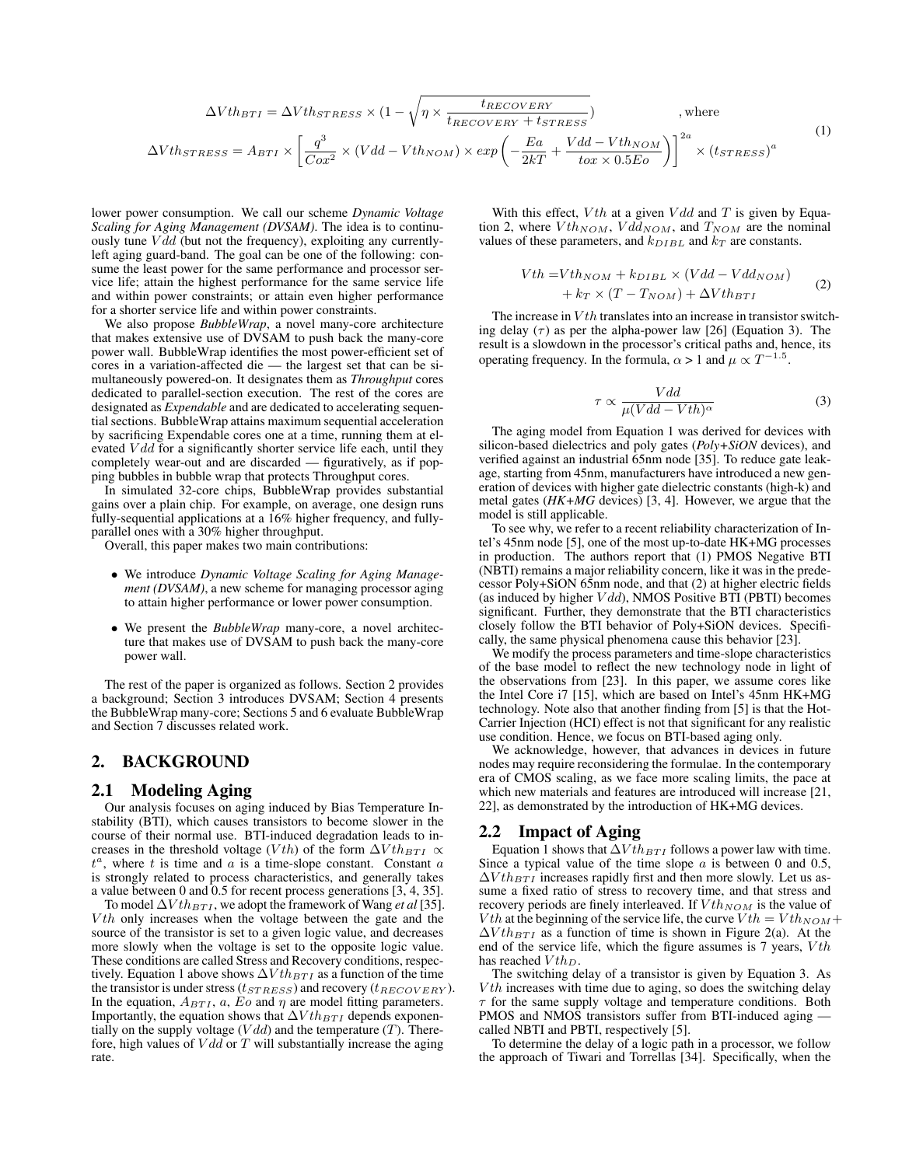$$
\Delta Vth_{BTI} = \Delta Vth_{STRESS} \times (1 - \sqrt{\eta \times \frac{t_{RECOVERY}}{t_{RECOVERY} + t_{STRESS}})}, \text{ where}
$$
\n
$$
\Delta Vth_{STRESS} = A_{BTI} \times \left[ \frac{q^3}{Cox^2} \times (Vdd - Vth_{NOM}) \times exp\left(-\frac{Ea}{2kT} + \frac{Vdd - Vth_{NOM}}{tox \times 0.5Eo}\right) \right]^{2a} \times (t_{STRESS})^a
$$
\n(1)

lower power consumption. We call our scheme *Dynamic Voltage Scaling for Aging Management (DVSAM)*. The idea is to continuously tune  $Vdd$  (but not the frequency), exploiting any currentlyleft aging guard-band. The goal can be one of the following: consume the least power for the same performance and processor service life; attain the highest performance for the same service life and within power constraints; or attain even higher performance for a shorter service life and within power constraints.

We also propose *BubbleWrap*, a novel many-core architecture that makes extensive use of DVSAM to push back the many-core power wall. BubbleWrap identifies the most power-efficient set of cores in a variation-affected die — the largest set that can be simultaneously powered-on. It designates them as *Throughput* cores dedicated to parallel-section execution. The rest of the cores are designated as *Expendable* and are dedicated to accelerating sequential sections. BubbleWrap attains maximum sequential acceleration by sacrificing Expendable cores one at a time, running them at elevated  $V d d$  for a significantly shorter service life each, until they completely wear-out and are discarded — figuratively, as if popping bubbles in bubble wrap that protects Throughput cores.

In simulated 32-core chips, BubbleWrap provides substantial gains over a plain chip. For example, on average, one design runs fully-sequential applications at a 16% higher frequency, and fullyparallel ones with a 30% higher throughput.

Overall, this paper makes two main contributions:

- We introduce *Dynamic Voltage Scaling for Aging Management (DVSAM)*, a new scheme for managing processor aging to attain higher performance or lower power consumption.
- We present the *BubbleWrap* many-core, a novel architecture that makes use of DVSAM to push back the many-core power wall.

The rest of the paper is organized as follows. Section 2 provides a background; Section 3 introduces DVSAM; Section 4 presents the BubbleWrap many-core; Sections 5 and 6 evaluate BubbleWrap and Section 7 discusses related work.

# 2. BACKGROUND

#### 2.1 Modeling Aging

Our analysis focuses on aging induced by Bias Temperature Instability (BTI), which causes transistors to become slower in the course of their normal use. BTI-induced degradation leads to increases in the threshold voltage (Vth) of the form  $\Delta Vth_{BTI} \propto$ the anti-term  $\sum_{i=1}^{\infty}$  where the same and a is a time-slope constant. Constant a is strongly related to process characteristics, and generally takes a value between 0 and 0.5 for recent process generations [3, 4, 35].

To model  $\Delta Vth_{BTI}$ , we adopt the framework of Wang *et al* [35].  $Vth$  only increases when the voltage between the gate and the source of the transistor is set to a given logic value, and decreases more slowly when the voltage is set to the opposite logic value. These conditions are called Stress and Recovery conditions, respectively. Equation 1 above shows  $\Delta Vth_{BTI}$  as a function of the time the transistor is under stress ( $t_{STRESS}$ ) and recovery ( $t_{RECOVERY}$ ). In the equation,  $A_{BTI}$ , a, Eo and  $\eta$  are model fitting parameters. Importantly, the equation shows that  $\Delta Vth_{BTI}$  depends exponentially on the supply voltage  $(Vdd)$  and the temperature  $(T)$ . Therefore, high values of  $Vdd$  or  $T$  will substantially increase the aging rate.

With this effect,  $Vth$  at a given  $Vdd$  and T is given by Equation 2, where  $Vth_{NOM}$ ,  $Vdd_{NOM}$ , and  $T_{NOM}$  are the nominal values of these parameters, and  $k_{DIBL}$  and  $k_T$  are constants.

$$
Vth = Vth_{NOM} + k_{DIBL} \times (Vdd - Vdd_{NOM})
$$
  
+  $k_T \times (T - T_{NOM}) + \Delta Vth_{BTI}$  (2)

The increase in  $Vth$  translates into an increase in transistor switching delay  $(\tau)$  as per the alpha-power law [26] (Equation 3). The result is a slowdown in the processor's critical paths and, hence, its operating frequency. In the formula,  $\alpha > 1$  and  $\mu \propto T^{-1.5}$ .

$$
\tau \propto \frac{Vdd}{\mu (Vdd - Vth)^{\alpha}} \tag{3}
$$

The aging model from Equation 1 was derived for devices with silicon-based dielectrics and poly gates (*Poly+SiON* devices), and verified against an industrial 65nm node [35]. To reduce gate leakage, starting from 45nm, manufacturers have introduced a new generation of devices with higher gate dielectric constants (high-k) and metal gates (*HK+MG* devices) [3, 4]. However, we argue that the model is still applicable.

To see why, we refer to a recent reliability characterization of Intel's 45nm node [5], one of the most up-to-date HK+MG processes in production. The authors report that (1) PMOS Negative BTI (NBTI) remains a major reliability concern, like it was in the predecessor Poly+SiON 65nm node, and that (2) at higher electric fields (as induced by higher  $Vdd$ ), NMOS Positive BTI (PBTI) becomes significant. Further, they demonstrate that the BTI characteristics closely follow the BTI behavior of Poly+SiON devices. Specifically, the same physical phenomena cause this behavior [23].

We modify the process parameters and time-slope characteristics of the base model to reflect the new technology node in light of the observations from [23]. In this paper, we assume cores like the Intel Core i7 [15], which are based on Intel's 45nm HK+MG technology. Note also that another finding from [5] is that the Hot-Carrier Injection (HCI) effect is not that significant for any realistic use condition. Hence, we focus on BTI-based aging only.

We acknowledge, however, that advances in devices in future nodes may require reconsidering the formulae. In the contemporary era of CMOS scaling, as we face more scaling limits, the pace at which new materials and features are introduced will increase [21, 22], as demonstrated by the introduction of HK+MG devices.

## 2.2 Impact of Aging

Equation 1 shows that  $\Delta Vth_{BTI}$  follows a power law with time. Since a typical value of the time slope  $\alpha$  is between 0 and 0.5,  $\Delta Vth_{BTI}$  increases rapidly first and then more slowly. Let us assume a fixed ratio of stress to recovery time, and that stress and recovery periods are finely interleaved. If  $Vth_{NOM}$  is the value of *V*th at the beginning of the service life, the curve  $Vth = Vth_{NOM} +$  $\Delta Vth_{BTI}$  as a function of time is shown in Figure 2(a). At the end of the service life, which the figure assumes is 7 years,  $Vth$ has reached  $Vth_{D}$ .

The switching delay of a transistor is given by Equation 3. As  $Vth$  increases with time due to aging, so does the switching delay  $\tau$  for the same supply voltage and temperature conditions. Both PMOS and NMOS transistors suffer from BTI-induced aging called NBTI and PBTI, respectively [5].

To determine the delay of a logic path in a processor, we follow the approach of Tiwari and Torrellas [34]. Specifically, when the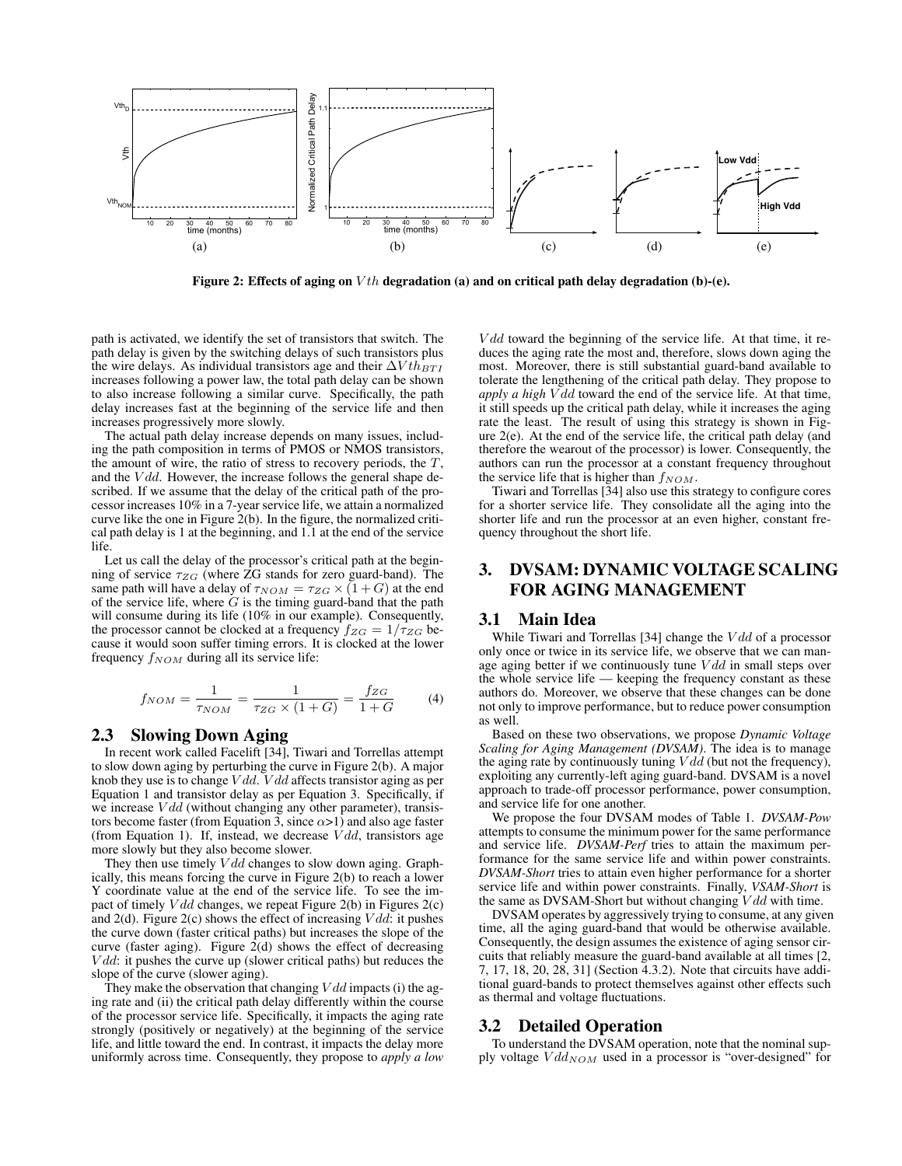

Figure 2: Effects of aging on  $Vth$  degradation (a) and on critical path delay degradation (b)-(e).

path is activated, we identify the set of transistors that switch. The path delay is given by the switching delays of such transistors plus the wire delays. As individual transistors age and their  $\Delta V th_{BTI}$ increases following a power law, the total path delay can be shown to also increase following a similar curve. Specifically, the path delay increases fast at the beginning of the service life and then increases progressively more slowly.

The actual path delay increase depends on many issues, including the path composition in terms of PMOS or NMOS transistors, the amount of wire, the ratio of stress to recovery periods, the  $T$ , and the  $Vdd$ . However, the increase follows the general shape described. If we assume that the delay of the critical path of the processor increases 10% in a 7-year service life, we attain a normalized curve like the one in Figure 2(b). In the figure, the normalized critical path delay is 1 at the beginning, and 1.1 at the end of the service life.

Let us call the delay of the processor's critical path at the beginning of service  $\tau_{ZG}$  (where ZG stands for zero guard-band). The same path will have a delay of  $\tau_{NOM} = \tau_{ZG} \times (1+G)$  at the end of the service life, where  $G$  is the timing guard-band that the path will consume during its life (10% in our example). Consequently, the processor cannot be clocked at a frequency  $f_{ZG} = 1/\tau_{ZG}$  because it would soon suffer timing errors. It is clocked at the lower frequency  $f_{NOM}$  during all its service life:

$$
f_{NOM} = \frac{1}{\tau_{NOM}} = \frac{1}{\tau_{ZG} \times (1+G)} = \frac{f_{ZG}}{1+G}
$$
 (4)

## 2.3 Slowing Down Aging

In recent work called Facelift [34], Tiwari and Torrellas attempt to slow down aging by perturbing the curve in Figure 2(b). A major knob they use is to change  $Vdd$ .  $Vdd$  affects transistor aging as per Equation 1 and transistor delay as per Equation 3. Specifically, if we increase  $Vdd$  (without changing any other parameter), transistors become faster (from Equation 3, since  $\alpha$ >1) and also age faster (from Equation 1). If, instead, we decrease  $Vdd$ , transistors age more slowly but they also become slower.

They then use timely  $Vdd$  changes to slow down aging. Graphically, this means forcing the curve in Figure 2(b) to reach a lower Y coordinate value at the end of the service life. To see the impact of timely  $Vdd$  changes, we repeat Figure 2(b) in Figures 2(c) and  $2(d)$ . Figure  $2(c)$  shows the effect of increasing  $Vdd$ : it pushes the curve down (faster critical paths) but increases the slope of the curve (faster aging). Figure 2(d) shows the effect of decreasing  $Vdd$ : it pushes the curve up (slower critical paths) but reduces the slope of the curve (slower aging).

They make the observation that changing  $Vdd$  impacts (i) the aging rate and (ii) the critical path delay differently within the course of the processor service life. Specifically, it impacts the aging rate strongly (positively or negatively) at the beginning of the service life, and little toward the end. In contrast, it impacts the delay more uniformly across time. Consequently, they propose to *apply a low*

 $Vdd$  toward the beginning of the service life. At that time, it reduces the aging rate the most and, therefore, slows down aging the most. Moreover, there is still substantial guard-band available to tolerate the lengthening of the critical path delay. They propose to *apply a high V dd* toward the end of the service life. At that time, it still speeds up the critical path delay, while it increases the aging rate the least. The result of using this strategy is shown in Figure 2(e). At the end of the service life, the critical path delay (and therefore the wearout of the processor) is lower. Consequently, the authors can run the processor at a constant frequency throughout the service life that is higher than  $f_{NOM}$ .

Tiwari and Torrellas [34] also use this strategy to configure cores for a shorter service life. They consolidate all the aging into the shorter life and run the processor at an even higher, constant frequency throughout the short life.

# 3. DVSAM: DYNAMIC VOLTAGE SCALING FOR AGING MANAGEMENT

#### 3.1 Main Idea

While Tiwari and Torrellas [34] change the  $Vdd$  of a processor only once or twice in its service life, we observe that we can manage aging better if we continuously tune  $Vdd$  in small steps over the whole service life — keeping the frequency constant as these authors do. Moreover, we observe that these changes can be done not only to improve performance, but to reduce power consumption as well.

Based on these two observations, we propose *Dynamic Voltage Scaling for Aging Management (DVSAM)*. The idea is to manage the aging rate by continuously tuning  $Vdd$  (but not the frequency), exploiting any currently-left aging guard-band. DVSAM is a novel approach to trade-off processor performance, power consumption, and service life for one another.

We propose the four DVSAM modes of Table 1. *DVSAM-Pow* attempts to consume the minimum power for the same performance and service life. *DVSAM-Perf* tries to attain the maximum performance for the same service life and within power constraints. *DVSAM-Short* tries to attain even higher performance for a shorter service life and within power constraints. Finally, *VSAM-Short* is the same as DVSAM-Short but without changing  $Vdd$  with time.

DVSAM operates by aggressively trying to consume, at any given time, all the aging guard-band that would be otherwise available. Consequently, the design assumes the existence of aging sensor circuits that reliably measure the guard-band available at all times [2, 7, 17, 18, 20, 28, 31] (Section 4.3.2). Note that circuits have additional guard-bands to protect themselves against other effects such as thermal and voltage fluctuations.

## 3.2 Detailed Operation

To understand the DVSAM operation, note that the nominal supply voltage  $Vdd_{NOM}$  used in a processor is "over-designed" for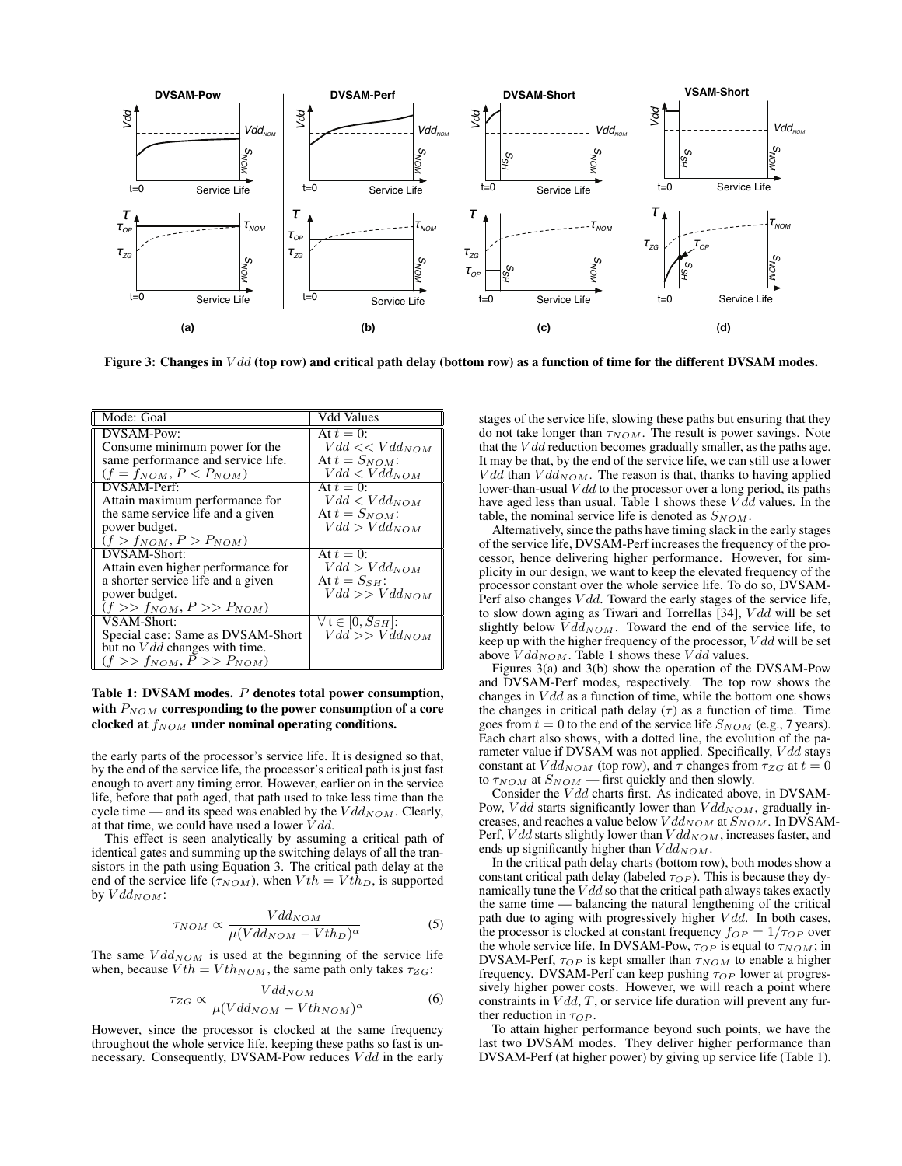

Figure 3: Changes in  $Vdd$  (top row) and critical path delay (bottom row) as a function of time for the different DVSAM modes.

| Mode: Goal                         | Vdd Values                        |
|------------------------------------|-----------------------------------|
| DVSAM-Pow:                         | At $t=0$ :                        |
| Consume minimum power for the      | $Vdd \ll Vdd$ <sub>NOM</sub>      |
| same performance and service life. | At $t = S_{NOM}$ :                |
| $(f = f_{NOM}, P < P_{NOM})$       | $Vdd < Vdd_{NOM}$                 |
| DVSAM-Perf:                        | At $t=0$ :                        |
| Attain maximum performance for     | $Vdd < Vdd_{NOM}$                 |
| the same service life and a given  | At $t = S_{NOM}$ :                |
| power budget.                      | $Vdd > Vdd_{NOM}$                 |
| $(f > f_{NOM}, P > P_{NOM})$       |                                   |
| DVSAM-Short:                       | At $t=0$ :                        |
| Attain even higher performance for | $Vdd > Vdd_{NOM}$                 |
| a shorter service life and a given | At $t = S_{SH}$ :                 |
| power budget.                      | $Vdd \gg Vdd$ <sub>NOM</sub>      |
| $(f \gg f_{NOM}, P \gg P_{NOM})$   |                                   |
| VSAM-Short:                        | $\forall$ t $\in$ [0, $S_{SH}$ ]: |
| Special case: Same as DVSAM-Short  | $Vdd \gg Vdd$ <sub>NOM</sub>      |
| but no $Vdd$ changes with time.    |                                   |
| $(f \gg f_{NOM}, P \gg P_{NOM})$   |                                   |

Table 1: DVSAM modes. P denotes total power consumption, with  $P_{NOM}$  corresponding to the power consumption of a core clocked at  $f_{NOM}$  under nominal operating conditions.

the early parts of the processor's service life. It is designed so that, by the end of the service life, the processor's critical path is just fast enough to avert any timing error. However, earlier on in the service life, before that path aged, that path used to take less time than the cycle time — and its speed was enabled by the  $Vdd_{NOM}$ . Clearly, at that time, we could have used a lower  $Vdd$ .

This effect is seen analytically by assuming a critical path of identical gates and summing up the switching delays of all the transistors in the path using Equation 3. The critical path delay at the end of the service life ( $\tau_{NOM}$ ), when  $Vth = Vth_D$ , is supported by  $Vdd_{NOM}$ :

$$
\tau_{NOM} \propto \frac{Vdd_{NOM}}{\mu (Vdd_{NOM} - Vth_D)^{\alpha}} \tag{5}
$$

The same  $Vdd_{NOM}$  is used at the beginning of the service life when, because  $Vth = Vth_{NOM}$ , the same path only takes  $\tau_{ZG}$ :

$$
\tau_{ZG} \propto \frac{Vdd_{NOM}}{\mu (Vdd_{NOM} - Vth_{NOM})^{\alpha}} \tag{6}
$$

However, since the processor is clocked at the same frequency throughout the whole service life, keeping these paths so fast is unnecessary. Consequently, DVSAM-Pow reduces  $Vdd$  in the early

stages of the service life, slowing these paths but ensuring that they do not take longer than  $\tau_{NOM}$ . The result is power savings. Note that the  $V d d$  reduction becomes gradually smaller, as the paths age. It may be that, by the end of the service life, we can still use a lower  $Vdd$  than  $Vdd_{NOM}$ . The reason is that, thanks to having applied lower-than-usual  $Vdd$  to the processor over a long period, its paths have aged less than usual. Table 1 shows these  $V \overline{d} d$  values. In the table, the nominal service life is denoted as  $S_{NOM}$ .

Alternatively, since the paths have timing slack in the early stages of the service life, DVSAM-Perf increases the frequency of the processor, hence delivering higher performance. However, for simplicity in our design, we want to keep the elevated frequency of the processor constant over the whole service life. To do so, DVSAM-Perf also changes  $Vdd$ . Toward the early stages of the service life, to slow down aging as Tiwari and Torrellas [34], V dd will be set slightly below  $\bar{V}d\bar{d}_{NOM}$ . Toward the end of the service life, to keep up with the higher frequency of the processor, V dd will be set above  $Vdd_{NOM}$ . Table 1 shows these  $Vdd$  values.

Figures 3(a) and 3(b) show the operation of the DVSAM-Pow and DVSAM-Perf modes, respectively. The top row shows the changes in  $Vdd$  as a function of time, while the bottom one shows the changes in critical path delay  $(\tau)$  as a function of time. Time goes from  $t = 0$  to the end of the service life  $S_{NOM}$  (e.g., 7 years). Each chart also shows, with a dotted line, the evolution of the parameter value if DVSAM was not applied. Specifically, Vdd stays constant at  $Vdd_{NOM}$  (top row), and  $\tau$  changes from  $\tau_{ZG}$  at  $t=0$ to  $\tau_{NOM}$  at  $S_{NOM}$  — first quickly and then slowly.

Consider the V<sub>dd</sub> charts first. As indicated above, in DVSAM-Pow, *V dd* starts significantly lower than  $V d d_{NOM}$ , gradually increases, and reaches a value below  $Vdd_{NOM}$  at  $S_{NOM}$ . In DVSAM-Perf,  $Vdd$  starts slightly lower than  $Vdd_{NOM}$ , increases faster, and ends up significantly higher than  $Vdd_{NOM}$ .

In the critical path delay charts (bottom row), both modes show a constant critical path delay (labeled  $\tau_{OP}$ ). This is because they dynamically tune the  $V d d$  so that the critical path always takes exactly the same time — balancing the natural lengthening of the critical path due to aging with progressively higher  $Vdd$ . In both cases, the processor is clocked at constant frequency  $f_{OP} = 1/\tau_{OP}$  over the whole service life. In DVSAM-Pow,  $\tau_{OP}$  is equal to  $\tau_{NOM}$ ; in DVSAM-Perf,  $\tau_{OP}$  is kept smaller than  $\tau_{NOM}$  to enable a higher frequency. DVSAM-Perf can keep pushing  $\tau_{OP}$  lower at progressively higher power costs. However, we will reach a point where constraints in  $Vdd, T$ , or service life duration will prevent any further reduction in  $\tau_{OP}$ .

To attain higher performance beyond such points, we have the last two DVSAM modes. They deliver higher performance than DVSAM-Perf (at higher power) by giving up service life (Table 1).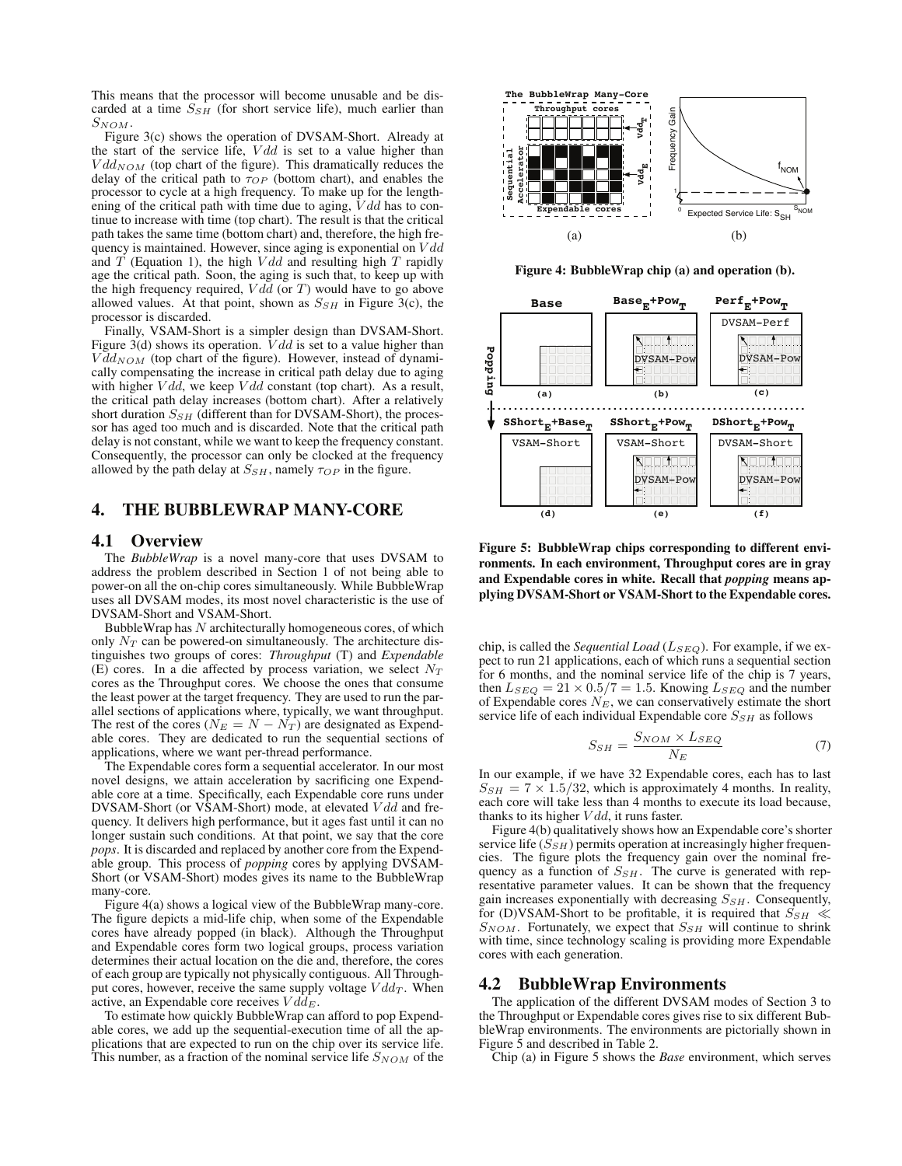This means that the processor will become unusable and be discarded at a time  $S_{SH}$  (for short service life), much earlier than  $S_{NOM}.$ 

Figure 3(c) shows the operation of DVSAM-Short. Already at the start of the service life,  $Vdd$  is set to a value higher than  $Vdd_{NOM}$  (top chart of the figure). This dramatically reduces the delay of the critical path to  $\tau_{OP}$  (bottom chart), and enables the processor to cycle at a high frequency. To make up for the lengthening of the critical path with time due to aging,  $Vdd$  has to continue to increase with time (top chart). The result is that the critical path takes the same time (bottom chart) and, therefore, the high frequency is maintained. However, since aging is exponential on  $Vdd$ and  $T$  (Equation 1), the high  $Vdd$  and resulting high  $T$  rapidly age the critical path. Soon, the aging is such that, to keep up with the high frequency required,  $Vdd$  (or T) would have to go above allowed values. At that point, shown as  $S_{SH}$  in Figure 3(c), the processor is discarded.

Finally, VSAM-Short is a simpler design than DVSAM-Short. Figure 3(d) shows its operation.  $V d d$  is set to a value higher than  $V \bar{d}d_{NOM}$  (top chart of the figure). However, instead of dynamically compensating the increase in critical path delay due to aging with higher  $Vdd$ , we keep  $Vdd$  constant (top chart). As a result, the critical path delay increases (bottom chart). After a relatively short duration  $S_{SH}$  (different than for DVSAM-Short), the processor has aged too much and is discarded. Note that the critical path delay is not constant, while we want to keep the frequency constant. Consequently, the processor can only be clocked at the frequency allowed by the path delay at  $S_{SH}$ , namely  $\tau_{OP}$  in the figure.

# 4. THE BUBBLEWRAP MANY-CORE

## 4.1 Overview

The *BubbleWrap* is a novel many-core that uses DVSAM to address the problem described in Section 1 of not being able to power-on all the on-chip cores simultaneously. While BubbleWrap uses all DVSAM modes, its most novel characteristic is the use of DVSAM-Short and VSAM-Short.

BubbleWrap has  $N$  architecturally homogeneous cores, of which only  $N_T$  can be powered-on simultaneously. The architecture distinguishes two groups of cores: *Throughput* (T) and *Expendable* (E) cores. In a die affected by process variation, we select  $N_T$ cores as the Throughput cores. We choose the ones that consume the least power at the target frequency. They are used to run the parallel sections of applications where, typically, we want throughput. The rest of the cores ( $N_E = N - N_T$ ) are designated as Expendable cores. They are dedicated to run the sequential sections of applications, where we want per-thread performance.

The Expendable cores form a sequential accelerator. In our most novel designs, we attain acceleration by sacrificing one Expendable core at a time. Specifically, each Expendable core runs under DVSAM-Short (or VSAM-Short) mode, at elevated Vdd and frequency. It delivers high performance, but it ages fast until it can no longer sustain such conditions. At that point, we say that the core *pops*. It is discarded and replaced by another core from the Expendable group. This process of *popping* cores by applying DVSAM-Short (or VSAM-Short) modes gives its name to the BubbleWrap many-core.

Figure 4(a) shows a logical view of the BubbleWrap many-core. The figure depicts a mid-life chip, when some of the Expendable cores have already popped (in black). Although the Throughput and Expendable cores form two logical groups, process variation determines their actual location on the die and, therefore, the cores of each group are typically not physically contiguous. All Throughput cores, however, receive the same supply voltage  $Vdd_T$ . When active, an Expendable core receives  $V d\tilde{d}_E$ .

To estimate how quickly BubbleWrap can afford to pop Expendable cores, we add up the sequential-execution time of all the applications that are expected to run on the chip over its service life. This number, as a fraction of the nominal service life  $S_{NOM}$  of the



Figure 4: BubbleWrap chip (a) and operation (b).



Figure 5: BubbleWrap chips corresponding to different environments. In each environment, Throughput cores are in gray and Expendable cores in white. Recall that *popping* means applying DVSAM-Short or VSAM-Short to the Expendable cores.

chip, is called the *Sequential Load* ( $L_{SEQ}$ ). For example, if we expect to run 21 applications, each of which runs a sequential section for 6 months, and the nominal service life of the chip is 7 years, then  $L_{SEQ} = 21 \times 0.5/7 = 1.5$ . Knowing  $L_{SEQ}$  and the number of Expendable cores  $N_E$ , we can conservatively estimate the short service life of each individual Expendable core  $S_{SH}$  as follows

$$
S_{SH} = \frac{S_{NOM} \times L_{SEQ}}{N_E} \tag{7}
$$

In our example, if we have 32 Expendable cores, each has to last  $S_{SH} = 7 \times 1.5/32$ , which is approximately 4 months. In reality, each core will take less than 4 months to execute its load because, thanks to its higher  $Vdd$ , it runs faster.

Figure 4(b) qualitatively shows how an Expendable core's shorter service life  $(S_{SH})$  permits operation at increasingly higher frequencies. The figure plots the frequency gain over the nominal frequency as a function of  $S_{SH}$ . The curve is generated with representative parameter values. It can be shown that the frequency gain increases exponentially with decreasing  $S_{SH}$ . Consequently, for (D)VSAM-Short to be profitable, it is required that  $S_{SH} \ll$  $S_{NOM}$ . Fortunately, we expect that  $S_{SH}$  will continue to shrink with time, since technology scaling is providing more Expendable cores with each generation.

## 4.2 BubbleWrap Environments

The application of the different DVSAM modes of Section 3 to the Throughput or Expendable cores gives rise to six different BubbleWrap environments. The environments are pictorially shown in Figure 5 and described in Table 2.

Chip (a) in Figure 5 shows the *Base* environment, which serves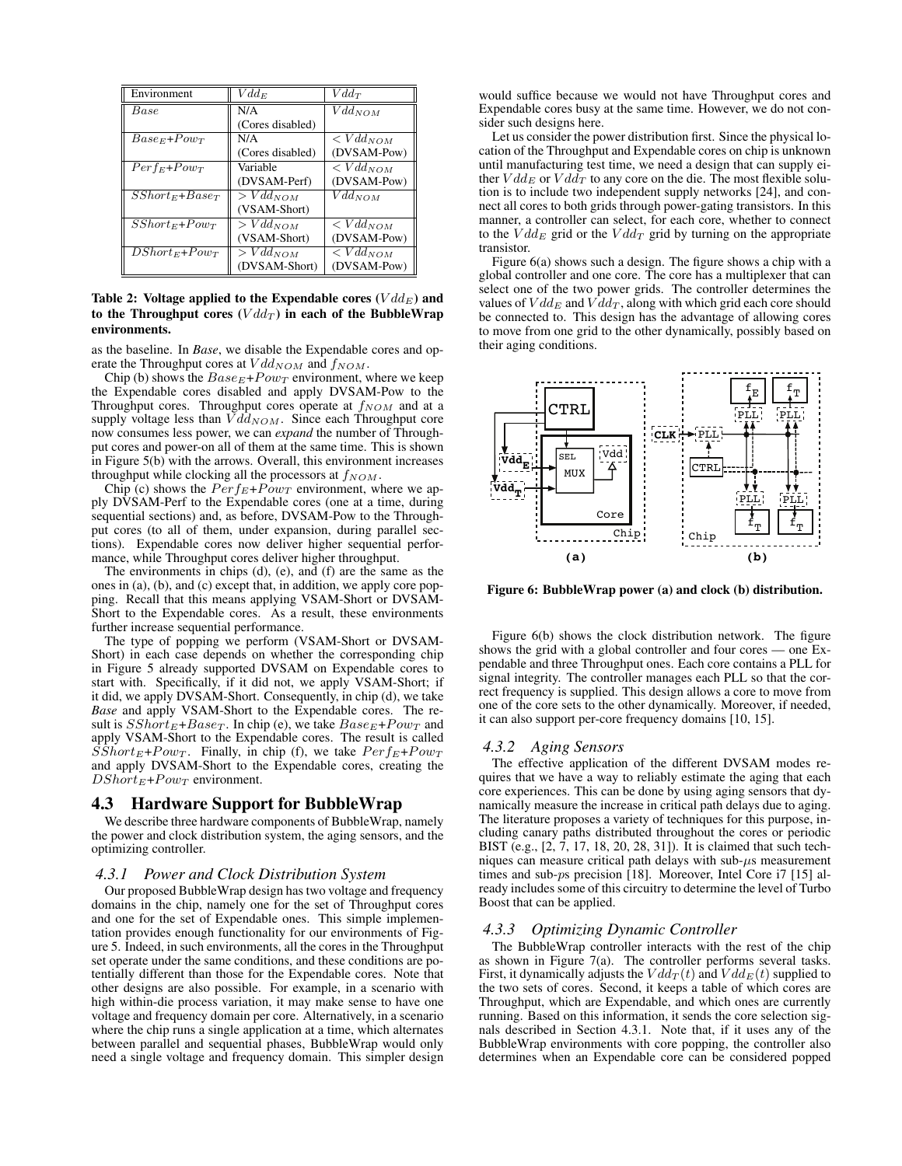| Environment        | $Vdd_E$          | $Vdd\tau$              |
|--------------------|------------------|------------------------|
| Base               | N/A              | $\overline{Vdd}_{NOM}$ |
|                    | (Cores disabled) |                        |
| $Base_E + Power$   | N/A              | $\langle Vdd_{NOM}$    |
|                    | (Cores disabled) | (DVSAM-Pow)            |
| $Perf_E+Pow_T$     | Variable         | $\langle Vdd_{NOM}$    |
|                    | (DVSAM-Perf)     | (DVSAM-Pow)            |
| $SShort_E+Baser$   | $> Vdd_{NOM}$    | $Vdd_{NOM}$            |
|                    | (VSAM-Short)     |                        |
| $SShort_E + Pow_T$ | $> Vdd_{NOM}$    | $\langle Vdd_{NOM}$    |
|                    | (VSAM-Short)     | (DVSAM-Pow)            |
| $DShort_E + Pow_T$ | $>Vdd_{NOM}$     | $\langle Vdd_{NOM}$    |
|                    | (DVSAM-Short)    | (DVSAM-Pow)            |

## Table 2: Voltage applied to the Expendable cores  $(Vdd_E)$  and to the Throughput cores  $(Vdd_T)$  in each of the BubbleWrap environments.

as the baseline. In *Base*, we disable the Expendable cores and operate the Throughput cores at  $Vdd_{NOM}$  and  $f_{NOM}$ .

Chip (b) shows the  $Base_E+Pow_T$  environment, where we keep the Expendable cores disabled and apply DVSAM-Pow to the Throughput cores. Throughput cores operate at  $f_{NOM}$  and at a supply voltage less than  $V d\bar{d}_{NOM}$ . Since each Throughput core now consumes less power, we can *expand* the number of Throughput cores and power-on all of them at the same time. This is shown in Figure 5(b) with the arrows. Overall, this environment increases throughput while clocking all the processors at  $f_{NOM}$ .

Chip (c) shows the  $Perf_E+Pow_T$  environment, where we apply DVSAM-Perf to the Expendable cores (one at a time, during sequential sections) and, as before, DVSAM-Pow to the Throughput cores (to all of them, under expansion, during parallel sections). Expendable cores now deliver higher sequential performance, while Throughput cores deliver higher throughput.

The environments in chips (d), (e), and (f) are the same as the ones in (a), (b), and (c) except that, in addition, we apply core popping. Recall that this means applying VSAM-Short or DVSAM-Short to the Expendable cores. As a result, these environments further increase sequential performance.

The type of popping we perform (VSAM-Short or DVSAM-Short) in each case depends on whether the corresponding chip in Figure 5 already supported DVSAM on Expendable cores to start with. Specifically, if it did not, we apply VSAM-Short; if it did, we apply DVSAM-Short. Consequently, in chip (d), we take *Base* and apply VSAM-Short to the Expendable cores. The result is  $SShort_E+Base_T$ . In chip (e), we take  $Base_E+Pow_T$  and apply VSAM-Short to the Expendable cores. The result is called  $SShort_E+Pow_T$ . Finally, in chip (f), we take  $Perf_E+Pow_T$ and apply DVSAM-Short to the Expendable cores, creating the  $DShort_E+Pow_T$  environment.

## 4.3 Hardware Support for BubbleWrap

We describe three hardware components of BubbleWrap, namely the power and clock distribution system, the aging sensors, and the optimizing controller.

#### *4.3.1 Power and Clock Distribution System*

Our proposed BubbleWrap design has two voltage and frequency domains in the chip, namely one for the set of Throughput cores and one for the set of Expendable ones. This simple implementation provides enough functionality for our environments of Figure 5. Indeed, in such environments, all the cores in the Throughput set operate under the same conditions, and these conditions are potentially different than those for the Expendable cores. Note that other designs are also possible. For example, in a scenario with high within-die process variation, it may make sense to have one voltage and frequency domain per core. Alternatively, in a scenario where the chip runs a single application at a time, which alternates between parallel and sequential phases, BubbleWrap would only need a single voltage and frequency domain. This simpler design would suffice because we would not have Throughput cores and Expendable cores busy at the same time. However, we do not consider such designs here.

Let us consider the power distribution first. Since the physical location of the Throughput and Expendable cores on chip is unknown until manufacturing test time, we need a design that can supply either  $Vdd_E$  or  $Vdd_T$  to any core on the die. The most flexible solution is to include two independent supply networks [24], and connect all cores to both grids through power-gating transistors. In this manner, a controller can select, for each core, whether to connect to the  $Vdd_E$  grid or the  $Vdd_T$  grid by turning on the appropriate transistor.

Figure 6(a) shows such a design. The figure shows a chip with a global controller and one core. The core has a multiplexer that can select one of the two power grids. The controller determines the values of  $V d d_E$  and  $V d d_T$ , along with which grid each core should be connected to. This design has the advantage of allowing cores to move from one grid to the other dynamically, possibly based on their aging conditions.



Figure 6: BubbleWrap power (a) and clock (b) distribution.

Figure 6(b) shows the clock distribution network. The figure shows the grid with a global controller and four cores — one Expendable and three Throughput ones. Each core contains a PLL for signal integrity. The controller manages each PLL so that the correct frequency is supplied. This design allows a core to move from one of the core sets to the other dynamically. Moreover, if needed, it can also support per-core frequency domains [10, 15].

#### *4.3.2 Aging Sensors*

The effective application of the different DVSAM modes requires that we have a way to reliably estimate the aging that each core experiences. This can be done by using aging sensors that dynamically measure the increase in critical path delays due to aging. The literature proposes a variety of techniques for this purpose, including canary paths distributed throughout the cores or periodic BIST (e.g., [2, 7, 17, 18, 20, 28, 31]). It is claimed that such techniques can measure critical path delays with sub- $\mu$ s measurement times and sub-ps precision [18]. Moreover, Intel Core i7 [15] already includes some of this circuitry to determine the level of Turbo Boost that can be applied.

## *4.3.3 Optimizing Dynamic Controller*

The BubbleWrap controller interacts with the rest of the chip as shown in Figure 7(a). The controller performs several tasks. First, it dynamically adjusts the  $Vdd_T(t)$  and  $Vdd_E(t)$  supplied to the two sets of cores. Second, it keeps a table of which cores are Throughput, which are Expendable, and which ones are currently running. Based on this information, it sends the core selection signals described in Section 4.3.1. Note that, if it uses any of the BubbleWrap environments with core popping, the controller also determines when an Expendable core can be considered popped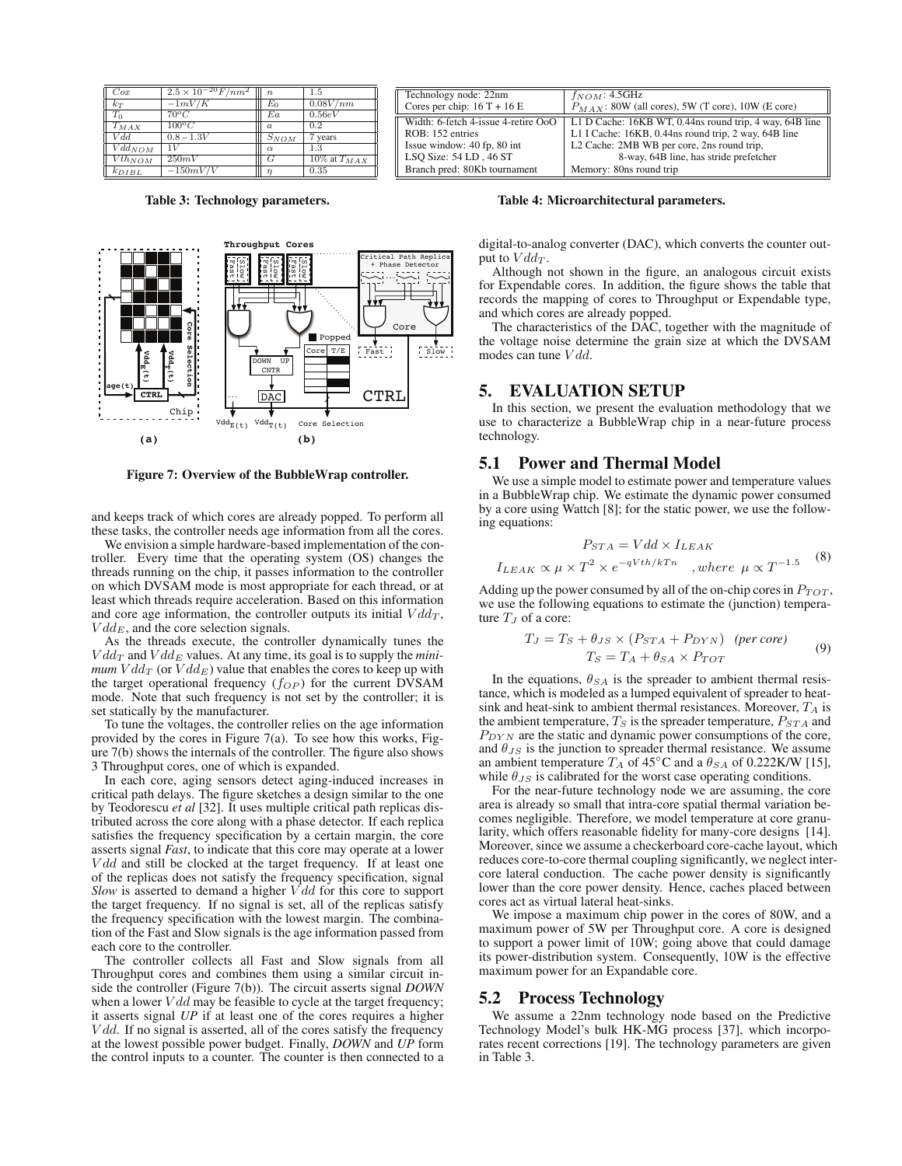| Cox         | $2.5 \times 10^{-20} F / nm^2$ | $\boldsymbol{n}$ | 1.5                                                         |
|-------------|--------------------------------|------------------|-------------------------------------------------------------|
| $k_T$       | $\overline{-1mV/K}$            | $E_0$            | 0.08V/nm                                                    |
| $T_0$       | $70^{\circ}$ C                 | Ea               | 0.56eV                                                      |
| $T_{MAX}$   | $100^{\circ}C$                 | $\alpha$         | 0.2                                                         |
| Vdd         | $0.8 - 1.3V$                   | $S_{NOM}$        | 7 years                                                     |
| $Vdd_{NOM}$ | 1V                             | $\alpha$         | 1.3                                                         |
| $Vth_{NOM}$ | 250mV                          | G                | $\frac{10\% \text{ at } T_{MAX}}{10\% \text{ at } T_{MAX}}$ |
| $k_{DIBL}$  | $-150mV/V$                     | $\eta$           | 0.35                                                        |

Table 3: Technology parameters.



Figure 7: Overview of the BubbleWrap controller.

and keeps track of which cores are already popped. To perform all these tasks, the controller needs age information from all the cores.

We envision a simple hardware-based implementation of the controller. Every time that the operating system (OS) changes the threads running on the chip, it passes information to the controller on which DVSAM mode is most appropriate for each thread, or at least which threads require acceleration. Based on this information and core age information, the controller outputs its initial  $Vdd_T$ ,  $V d dE$ , and the core selection signals.

As the threads execute, the controller dynamically tunes the  $Vdd_T$  and  $Vdd_E$  values. At any time, its goal is to supply the *minimum*  $V dd_T$  (or  $V dd_E$ ) value that enables the cores to keep up with the target operational frequency  $(f_{OP})$  for the current DVSAM mode. Note that such frequency is not set by the controller; it is set statically by the manufacturer.

To tune the voltages, the controller relies on the age information provided by the cores in Figure 7(a). To see how this works, Figure 7(b) shows the internals of the controller. The figure also shows 3 Throughput cores, one of which is expanded.

In each core, aging sensors detect aging-induced increases in critical path delays. The figure sketches a design similar to the one by Teodorescu *et al* [32]. It uses multiple critical path replicas distributed across the core along with a phase detector. If each replica satisfies the frequency specification by a certain margin, the core asserts signal *Fast*, to indicate that this core may operate at a lower  $Vdd$  and still be clocked at the target frequency. If at least one of the replicas does not satisfy the frequency specification, signal *Slow* is asserted to demand a higher  $V d d$  for this core to support the target frequency. If no signal is set, all of the replicas satisfy the frequency specification with the lowest margin. The combination of the Fast and Slow signals is the age information passed from each core to the controller.

The controller collects all Fast and Slow signals from all Throughput cores and combines them using a similar circuit inside the controller (Figure 7(b)). The circuit asserts signal *DOWN* when a lower  $Vdd$  may be feasible to cycle at the target frequency; it asserts signal *UP* if at least one of the cores requires a higher  $Vdd$ . If no signal is asserted, all of the cores satisfy the frequency at the lowest possible power budget. Finally, *DOWN* and *UP* form the control inputs to a counter. The counter is then connected to a

| Technology node: 22nm               | $f_{NOM}$ : 4.5GHz                                      |
|-------------------------------------|---------------------------------------------------------|
| Cores per chip: $16T + 16E$         | $P_{MAX}$ : 80W (all cores), 5W (T core), 10W (E core)  |
| Width: 6-fetch 4-issue 4-retire OoO | L1 D Cache: 16KB WT, 0.44ns round trip, 4 way, 64B line |
| ROB: 152 entries                    | L1 I Cache: 16KB, 0.44ns round trip, 2 way, 64B line    |
| Issue window: 40 fp, 80 int         | L2 Cache: 2MB WB per core, 2ns round trip,              |
| LSO Size: 54 LD, 46 ST              | 8-way, 64B line, has stride prefetcher                  |
| Branch pred: 80Kb tournament        | Memory: 80ns round trip                                 |

#### Table 4: Microarchitectural parameters.

digital-to-analog converter (DAC), which converts the counter output to  $Vdd_T$ .

Although not shown in the figure, an analogous circuit exists for Expendable cores. In addition, the figure shows the table that records the mapping of cores to Throughput or Expendable type, and which cores are already popped.

The characteristics of the DAC, together with the magnitude of the voltage noise determine the grain size at which the DVSAM modes can tune  $Vdd$ 

## 5. EVALUATION SETUP

In this section, we present the evaluation methodology that we use to characterize a BubbleWrap chip in a near-future process technology.

#### 5.1 Power and Thermal Model

We use a simple model to estimate power and temperature values in a BubbleWrap chip. We estimate the dynamic power consumed by a core using Wattch [8]; for the static power, we use the following equations:

$$
P_{STA} = Vdd \times I_{LEAK}
$$
  

$$
I_{LEAK} \propto \mu \times T^2 \times e^{-qVth/kTn}
$$
, where  $\mu \propto T^{-1.5}$  (8)

Adding up the power consumed by all of the on-chip cores in  $P_{TOT}$ , we use the following equations to estimate the (junction) temperature  $T_J$  of a core:

$$
T_J = T_S + \theta_{JS} \times (P_{STA} + P_{DYN}) \quad (per \; core)
$$
  
\n
$$
T_S = T_A + \theta_{SA} \times P_{TOT}
$$
 (9)

In the equations,  $\theta_{SA}$  is the spreader to ambient thermal resistance, which is modeled as a lumped equivalent of spreader to heatsink and heat-sink to ambient thermal resistances. Moreover,  $T_A$  is the ambient temperature,  $T_S$  is the spreader temperature,  $P_{STA}$  and  $P_{DYN}$  are the static and dynamic power consumptions of the core, and  $\theta_{JS}$  is the junction to spreader thermal resistance. We assume an ambient temperature  $T_A$  of 45°C and a  $\theta_{SA}$  of 0.222K/W [15], while  $\theta_{JS}$  is calibrated for the worst case operating conditions.

For the near-future technology node we are assuming, the core area is already so small that intra-core spatial thermal variation becomes negligible. Therefore, we model temperature at core granularity, which offers reasonable fidelity for many-core designs [14]. Moreover, since we assume a checkerboard core-cache layout, which reduces core-to-core thermal coupling significantly, we neglect intercore lateral conduction. The cache power density is significantly lower than the core power density. Hence, caches placed between cores act as virtual lateral heat-sinks.

We impose a maximum chip power in the cores of 80W, and a maximum power of 5W per Throughput core. A core is designed to support a power limit of 10W; going above that could damage its power-distribution system. Consequently, 10W is the effective maximum power for an Expandable core.

#### 5.2 Process Technology

We assume a 22nm technology node based on the Predictive Technology Model's bulk HK-MG process [37], which incorporates recent corrections [19]. The technology parameters are given in Table 3.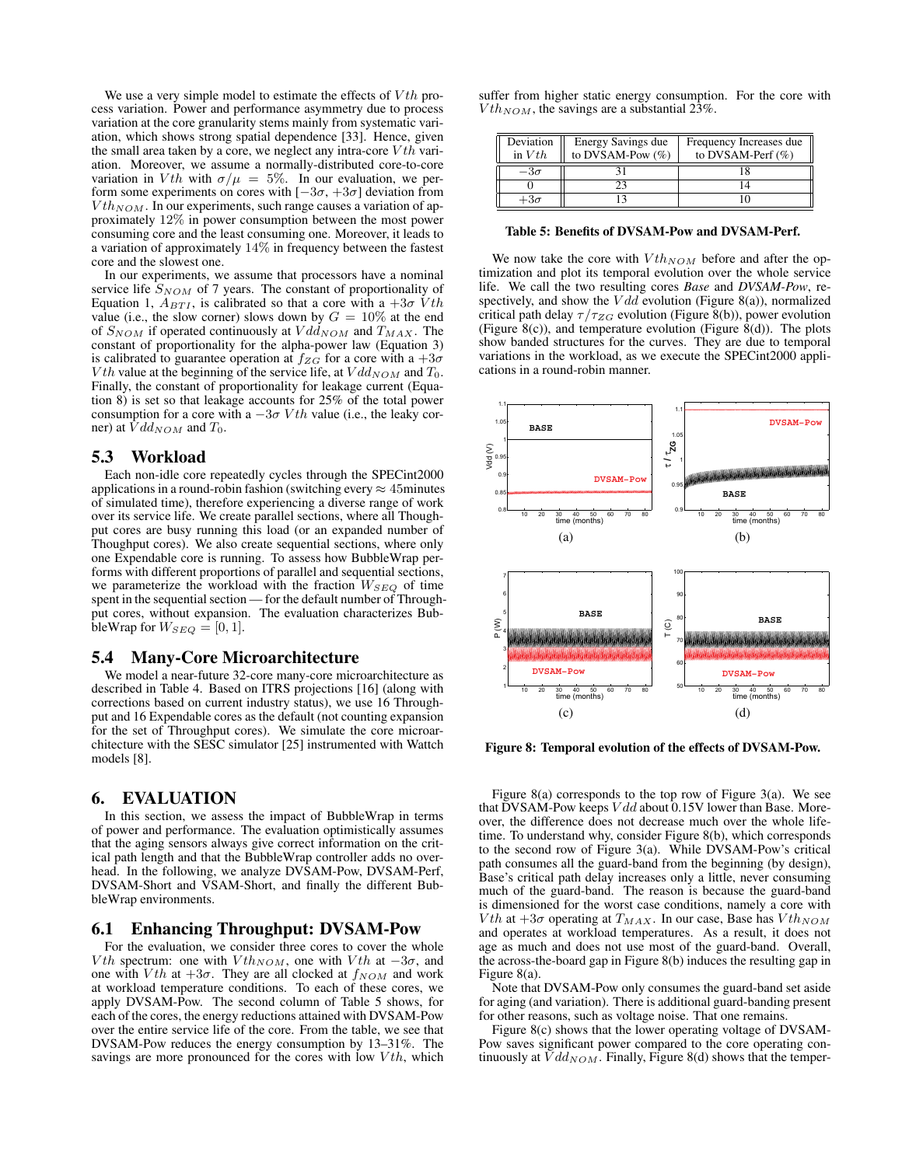We use a very simple model to estimate the effects of  $Vth$  process variation. Power and performance asymmetry due to process variation at the core granularity stems mainly from systematic variation, which shows strong spatial dependence [33]. Hence, given the small area taken by a core, we neglect any intra-core  $Vth$  variation. Moreover, we assume a normally-distributed core-to-core variation in Vth with  $\sigma/\mu = 5\%$ . In our evaluation, we perform some experiments on cores with  $[-3\sigma, +3\sigma]$  deviation from  $Vth_{NOM}$ . In our experiments, such range causes a variation of approximately 12% in power consumption between the most power consuming core and the least consuming one. Moreover, it leads to a variation of approximately 14% in frequency between the fastest core and the slowest one.

In our experiments, we assume that processors have a nominal service life  $S_{NOM}$  of 7 years. The constant of proportionality of Equation 1,  $A_{BTI}$ , is calibrated so that a core with a  $+3\sigma Vth$ value (i.e., the slow corner) slows down by  $G = 10\%$  at the end of  $S_{NOM}$  if operated continuously at  $Vdd_{NOM}$  and  $T_{MAX}$ . The constant of proportionality for the alpha-power law (Equation 3) is calibrated to guarantee operation at  $f_{ZG}$  for a core with a  $+3\sigma$  $Vth$  value at the beginning of the service life, at  $Vdd_{NOM}$  and  $T_0$ . Finally, the constant of proportionality for leakage current (Equation 8) is set so that leakage accounts for 25% of the total power consumption for a core with a  $-3\sigma Vth$  value (i.e., the leaky corner) at  $\dot{V}dd_{NOM}$  and  $T_0$ .

## 5.3 Workload

Each non-idle core repeatedly cycles through the SPECint2000 applications in a round-robin fashion (switching every  $\approx$  45minutes of simulated time), therefore experiencing a diverse range of work over its service life. We create parallel sections, where all Thoughput cores are busy running this load (or an expanded number of Thoughput cores). We also create sequential sections, where only one Expendable core is running. To assess how BubbleWrap performs with different proportions of parallel and sequential sections, we parameterize the workload with the fraction  $W_{SEQ}$  of time spent in the sequential section — for the default number of Throughput cores, without expansion. The evaluation characterizes BubbleWrap for  $W_{SEQ} = [0, 1]$ .

## 5.4 Many-Core Microarchitecture

We model a near-future 32-core many-core microarchitecture as described in Table 4. Based on ITRS projections [16] (along with corrections based on current industry status), we use 16 Throughput and 16 Expendable cores as the default (not counting expansion for the set of Throughput cores). We simulate the core microarchitecture with the SESC simulator [25] instrumented with Wattch models [8].

# 6. EVALUATION

In this section, we assess the impact of BubbleWrap in terms of power and performance. The evaluation optimistically assumes that the aging sensors always give correct information on the critical path length and that the BubbleWrap controller adds no overhead. In the following, we analyze DVSAM-Pow, DVSAM-Perf, DVSAM-Short and VSAM-Short, and finally the different BubbleWrap environments.

# 6.1 Enhancing Throughput: DVSAM-Pow

For the evaluation, we consider three cores to cover the whole *V*th spectrum: one with  $Vth_{NOM}$ , one with  $Vth$  at  $-3\sigma$ , and one with Vth at  $+3\sigma$ . They are all clocked at  $f_{NOM}$  and work at workload temperature conditions. To each of these cores, we apply DVSAM-Pow. The second column of Table 5 shows, for each of the cores, the energy reductions attained with DVSAM-Pow over the entire service life of the core. From the table, we see that DVSAM-Pow reduces the energy consumption by 13–31%. The savings are more pronounced for the cores with low  $Vth$ , which

suffer from higher static energy consumption. For the core with  $Vth_{NOM}$ , the savings are a substantial 23%.

| Deviation<br>in $Vth$ | Energy Savings due<br>to DVSAM-Pow $(\%)$ | Frequency Increases due<br>to DVSAM-Perf $(\%)$ |
|-----------------------|-------------------------------------------|-------------------------------------------------|
| $-3\sigma$            |                                           |                                                 |
|                       |                                           |                                                 |
| $+3\sigma$            |                                           |                                                 |

#### Table 5: Benefits of DVSAM-Pow and DVSAM-Perf.

We now take the core with  $Vth_{NOM}$  before and after the optimization and plot its temporal evolution over the whole service life. We call the two resulting cores *Base* and *DVSAM-Pow*, respectively, and show the  $Vdd$  evolution (Figure 8(a)), normalized critical path delay  $\tau/\tau_{ZG}$  evolution (Figure 8(b)), power evolution (Figure 8(c)), and temperature evolution (Figure 8(d)). The plots show banded structures for the curves. They are due to temporal variations in the workload, as we execute the SPECint2000 applications in a round-robin manner.



Figure 8: Temporal evolution of the effects of DVSAM-Pow.

Figure 8(a) corresponds to the top row of Figure 3(a). We see that DVSAM-Pow keeps  $Vdd$  about 0.15V lower than Base. Moreover, the difference does not decrease much over the whole lifetime. To understand why, consider Figure 8(b), which corresponds to the second row of Figure 3(a). While DVSAM-Pow's critical path consumes all the guard-band from the beginning (by design), Base's critical path delay increases only a little, never consuming much of the guard-band. The reason is because the guard-band is dimensioned for the worst case conditions, namely a core with *V*th at  $+3\sigma$  operating at  $T_{MAX}$ . In our case, Base has  $Vth_{NOM}$ and operates at workload temperatures. As a result, it does not age as much and does not use most of the guard-band. Overall, the across-the-board gap in Figure 8(b) induces the resulting gap in Figure 8(a).

Note that DVSAM-Pow only consumes the guard-band set aside for aging (and variation). There is additional guard-banding present for other reasons, such as voltage noise. That one remains.

Figure 8(c) shows that the lower operating voltage of DVSAM-Pow saves significant power compared to the core operating continuously at  $Vdd_{NOM}$ . Finally, Figure 8(d) shows that the temper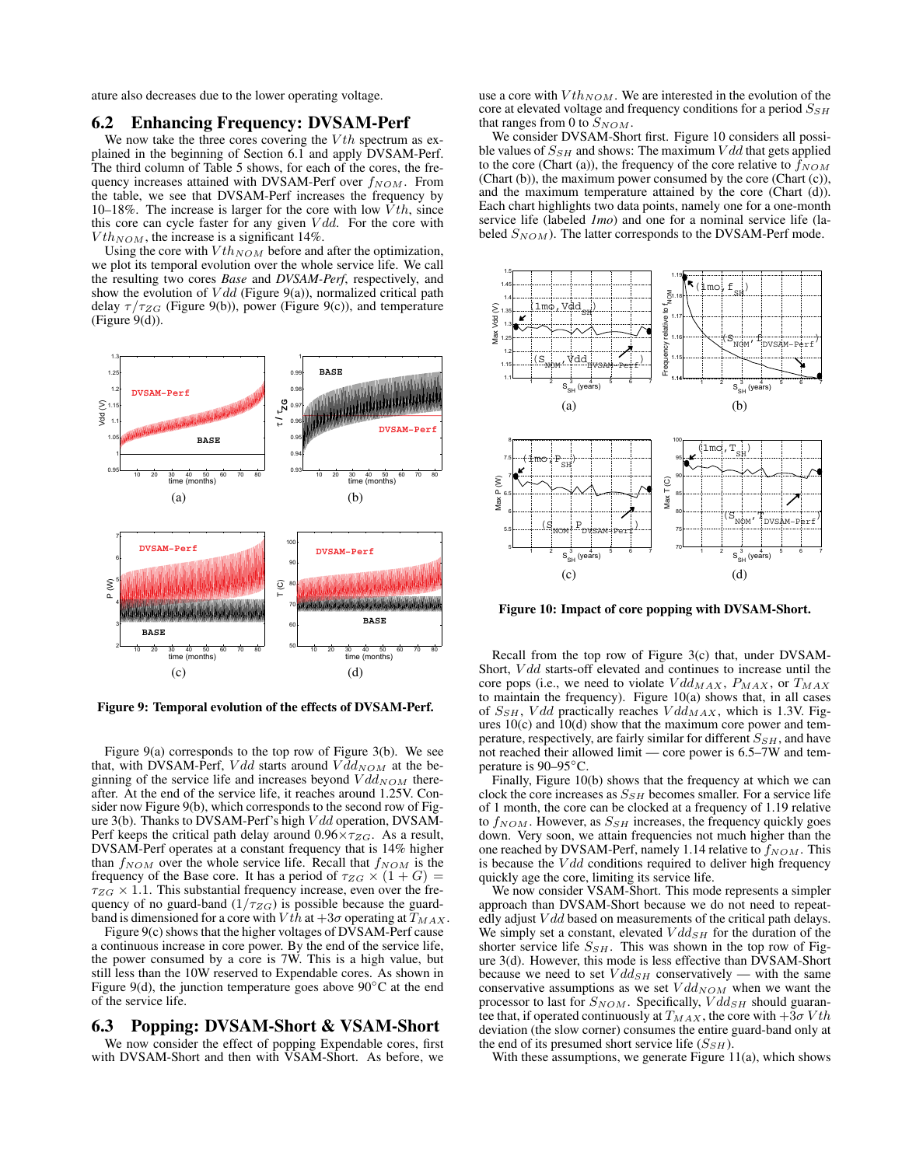ature also decreases due to the lower operating voltage.

#### 6.2 Enhancing Frequency: DVSAM-Perf

We now take the three cores covering the  $Vth$  spectrum as explained in the beginning of Section 6.1 and apply DVSAM-Perf. The third column of Table 5 shows, for each of the cores, the frequency increases attained with DVSAM-Perf over  $f_{NOM}$ . From the table, we see that DVSAM-Perf increases the frequency by 10–18%. The increase is larger for the core with low  $Vth$ , since this core can cycle faster for any given  $Vdd$ . For the core with  $Vth_{NOM}$ , the increase is a significant 14%.

Using the core with  $Vth_{NOM}$  before and after the optimization, we plot its temporal evolution over the whole service life. We call the resulting two cores *Base* and *DVSAM-Perf*, respectively, and show the evolution of  $Vdd$  (Figure 9(a)), normalized critical path delay  $\tau/\tau_{ZG}$  (Figure 9(b)), power (Figure 9(c)), and temperature (Figure 9(d)).



Figure 9: Temporal evolution of the effects of DVSAM-Perf.

Figure 9(a) corresponds to the top row of Figure 3(b). We see that, with DVSAM-Perf, Vdd starts around  $V \bar{d} d_{NOM}$  at the beginning of the service life and increases beyond  $Vdd_{NOM}$  thereafter. At the end of the service life, it reaches around 1.25V. Consider now Figure 9(b), which corresponds to the second row of Figure 3(b). Thanks to DVSAM-Perf's high V dd operation, DVSAM-Perf keeps the critical path delay around  $0.96 \times \tau_{ZG}$ . As a result, DVSAM-Perf operates at a constant frequency that is 14% higher than  $f_{NOM}$  over the whole service life. Recall that  $f_{NOM}$  is the frequency of the Base core. It has a period of  $\tau_{ZG} \times (1+G) =$  $\tau_{ZG} \times 1.1$ . This substantial frequency increase, even over the frequency of no guard-band  $(1/\tau_{ZG})$  is possible because the guardband is dimensioned for a core with  $V$ th at  $+3\sigma$  operating at  $T_{MAX}$ .

Figure 9(c) shows that the higher voltages of DVSAM-Perf cause a continuous increase in core power. By the end of the service life, the power consumed by a core is 7W. This is a high value, but still less than the 10W reserved to Expendable cores. As shown in Figure 9(d), the junction temperature goes above 90◦C at the end of the service life.

## 6.3 Popping: DVSAM-Short & VSAM-Short

We now consider the effect of popping Expendable cores, first with DVSAM-Short and then with VSAM-Short. As before, we use a core with  $Vth_{NOM}$ . We are interested in the evolution of the core at elevated voltage and frequency conditions for a period  $S_{SH}$ that ranges from 0 to  $S_{NOM}$ .

We consider DVSAM-Short first. Figure 10 considers all possible values of  $S_{SH}$  and shows: The maximum  $Vdd$  that gets applied to the core (Chart (a)), the frequency of the core relative to  $f_{NOM}$ (Chart (b)), the maximum power consumed by the core (Chart (c)), and the maximum temperature attained by the core (Chart (d)). Each chart highlights two data points, namely one for a one-month service life (labeled *1mo*) and one for a nominal service life (labeled  $S_{NOM}$ ). The latter corresponds to the DVSAM-Perf mode.



Figure 10: Impact of core popping with DVSAM-Short.

Recall from the top row of Figure 3(c) that, under DVSAM-Short, *Vdd* starts-off elevated and continues to increase until the core pops (i.e., we need to violate  $Vdd_{MAX}$ ,  $P_{MAX}$ , or  $T_{MAX}$ to maintain the frequency). Figure 10(a) shows that, in all cases of  $S_{SH}$ , Vdd practically reaches  $Vdd_{MAX}$ , which is 1.3V. Figures  $10(c)$  and  $10(d)$  show that the maximum core power and temperature, respectively, are fairly similar for different  $S_{SH}$ , and have not reached their allowed limit — core power is 6.5–7W and temperature is 90–95◦C.

Finally, Figure 10(b) shows that the frequency at which we can clock the core increases as  $S_{SH}$  becomes smaller. For a service life of 1 month, the core can be clocked at a frequency of 1.19 relative to  $f_{NOM}$ . However, as  $S_{SH}$  increases, the frequency quickly goes down. Very soon, we attain frequencies not much higher than the one reached by DVSAM-Perf, namely 1.14 relative to  $f_{NOM}$ . This is because the  $Vdd$  conditions required to deliver high frequency quickly age the core, limiting its service life.

We now consider VSAM-Short. This mode represents a simpler approach than DVSAM-Short because we do not need to repeatedly adjust  $Vdd$  based on measurements of the critical path delays. We simply set a constant, elevated  $Vdd_{SH}$  for the duration of the shorter service life  $S_{SH}$ . This was shown in the top row of Figure 3(d). However, this mode is less effective than DVSAM-Short because we need to set  $Vdd_{SH}$  conservatively — with the same conservative assumptions as we set  $Vdd_{NOM}$  when we want the processor to last for  $S_{NOM}$ . Specifically,  $V d d_{SH}$  should guarantee that, if operated continuously at  $T_{MAX}$ , the core with  $+3\sigma Vth$ deviation (the slow corner) consumes the entire guard-band only at the end of its presumed short service life  $(S_{SH})$ .

With these assumptions, we generate Figure 11(a), which shows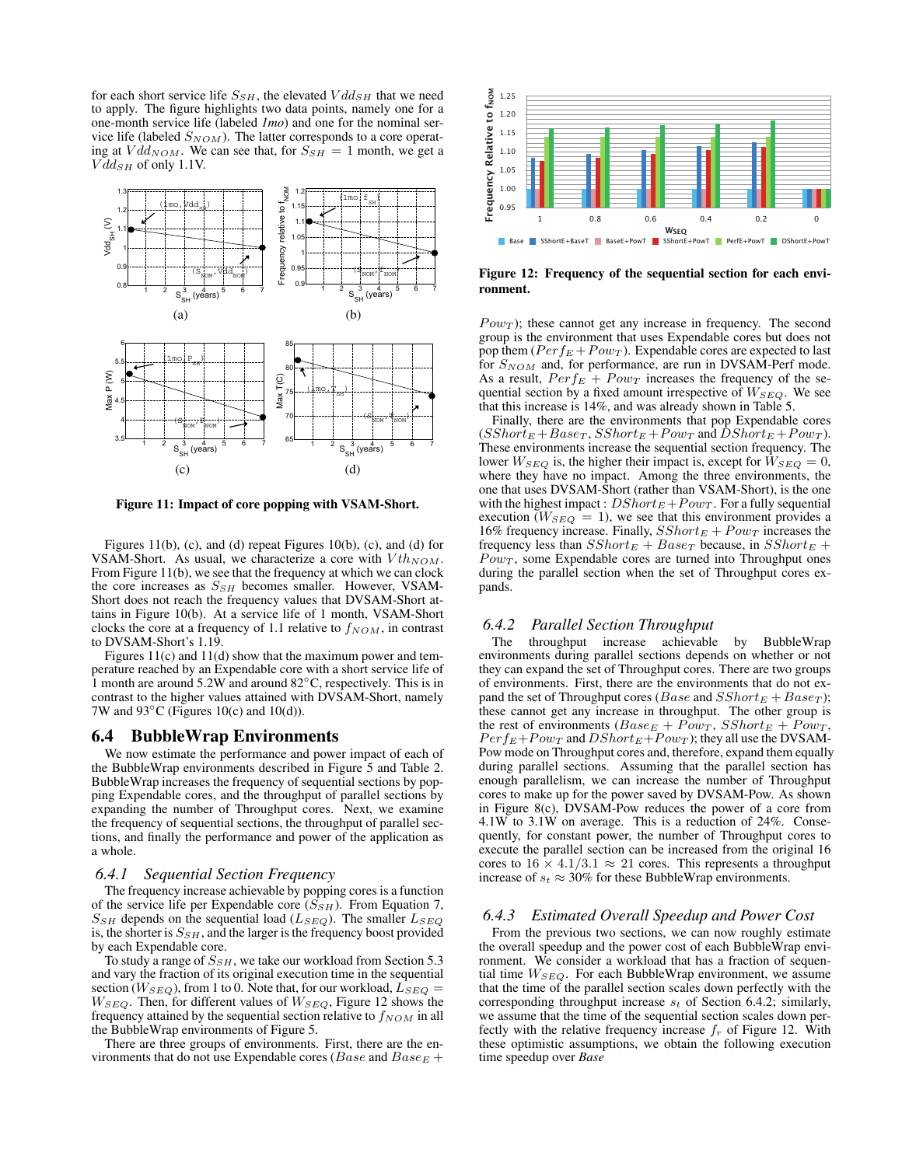for each short service life  $S_{SH}$ , the elevated  $V d d_{SH}$  that we need to apply. The figure highlights two data points, namely one for a one-month service life (labeled *1mo*) and one for the nominal service life (labeled  $S_{NOM}$ ). The latter corresponds to a core operating at  $Vdd_{NOM}$ . We can see that, for  $S_{SH} = 1$  month, we get a  $Vdd_{SH}$  of only 1.1V.



Figure 11: Impact of core popping with VSAM-Short.

Figures 11(b), (c), and (d) repeat Figures 10(b), (c), and (d) for VSAM-Short. As usual, we characterize a core with  $Vth_{NOM}$ . From Figure 11(b), we see that the frequency at which we can clock the core increases as  $S_{SH}$  becomes smaller. However, VSAM-Short does not reach the frequency values that DVSAM-Short attains in Figure 10(b). At a service life of 1 month, VSAM-Short clocks the core at a frequency of 1.1 relative to  $f_{NOM}$ , in contrast to DVSAM-Short's 1.19.

Figures 11(c) and 11(d) show that the maximum power and temperature reached by an Expendable core with a short service life of 1 month are around 5.2W and around 82◦C, respectively. This is in contrast to the higher values attained with DVSAM-Short, namely 7W and  $93^{\circ}$ C (Figures 10(c) and 10(d)).

#### 6.4 BubbleWrap Environments

We now estimate the performance and power impact of each of the BubbleWrap environments described in Figure 5 and Table 2. BubbleWrap increases the frequency of sequential sections by popping Expendable cores, and the throughput of parallel sections by expanding the number of Throughput cores. Next, we examine the frequency of sequential sections, the throughput of parallel sections, and finally the performance and power of the application as a whole.

#### *6.4.1 Sequential Section Frequency*

The frequency increase achievable by popping cores is a function of the service life per Expendable core  $(S_{SH})$ . From Equation 7,  $S_{SH}$  depends on the sequential load ( $L_{SEQ}$ ). The smaller  $L_{SEQ}$ is, the shorter is  $S_{SH}$ , and the larger is the frequency boost provided by each Expendable core.

To study a range of  $S_{SH}$ , we take our workload from Section 5.3 and vary the fraction of its original execution time in the sequential section ( $W_{SEQ}$ ), from 1 to 0. Note that, for our workload,  $L_{SEQ} =$  $W_{SEQ}$ . Then, for different values of  $W_{SEQ}$ , Figure 12 shows the frequency attained by the sequential section relative to  $f_{NOM}$  in all the BubbleWrap environments of Figure 5.

There are three groups of environments. First, there are the environments that do not use Expendable cores ( $Base$  and  $Base$  +



Figure 12: Frequency of the sequential section for each environment.

 $Pow_T$ ); these cannot get any increase in frequency. The second group is the environment that uses Expendable cores but does not pop them  $(Perf_E + Pow_T)$ . Expendable cores are expected to last for  $S_{NOM}$  and, for performance, are run in DVSAM-Perf mode. As a result,  $Perf_E + Pow_T$  increases the frequency of the sequential section by a fixed amount irrespective of  $W_{SEQ}$ . We see that this increase is 14%, and was already shown in Table 5.

Finally, there are the environments that pop Expendable cores  $(SShort_E + Base_T, SShort_E + Pow_T$  and  $DShort_E + Pow_T$ ). These environments increase the sequential section frequency. The lower  $W_{SEQ}$  is, the higher their impact is, except for  $\overline{W}_{SEQ} = 0$ , where they have no impact. Among the three environments, the one that uses DVSAM-Short (rather than VSAM-Short), is the one with the highest impact :  $DShort_E + Pow_T$ . For a fully sequential execution  $(W_{SEQ} = 1)$ , we see that this environment provides a 16% frequency increase. Finally,  $SShort_E + Pow_T$  increases the frequency less than  $SShort_E + Base_T$  because, in  $SShort_E +$  $Pow_T$ , some Expendable cores are turned into Throughput ones during the parallel section when the set of Throughput cores expands.

#### *6.4.2 Parallel Section Throughput*

The throughput increase achievable by BubbleWrap environments during parallel sections depends on whether or not they can expand the set of Throughput cores. There are two groups of environments. First, there are the environments that do not expand the set of Throughput cores (*Base* and  $SShort_E + Base_T$ ); these cannot get any increase in throughput. The other group is the rest of environments  $(Base_E + \overrightarrow{Pow_T}, \overrightarrow{SShort_E + Pow_T},$  $Perf_E+Pow_T$  and  $DShort_E+Pow_T$ ); they all use the DVSAM-Pow mode on Throughput cores and, therefore, expand them equally during parallel sections. Assuming that the parallel section has enough parallelism, we can increase the number of Throughput cores to make up for the power saved by DVSAM-Pow. As shown in Figure 8(c), DVSAM-Pow reduces the power of a core from 4.1W to 3.1W on average. This is a reduction of 24%. Consequently, for constant power, the number of Throughput cores to execute the parallel section can be increased from the original 16 cores to  $16 \times 4.1/3.1 \approx 21$  cores. This represents a throughput increase of  $s_t \approx 30\%$  for these BubbleWrap environments.

#### *6.4.3 Estimated Overall Speedup and Power Cost*

From the previous two sections, we can now roughly estimate the overall speedup and the power cost of each BubbleWrap environment. We consider a workload that has a fraction of sequential time  $W_{SEQ}$ . For each BubbleWrap environment, we assume that the time of the parallel section scales down perfectly with the corresponding throughput increase  $s_t$  of Section 6.4.2; similarly, we assume that the time of the sequential section scales down perfectly with the relative frequency increase  $f<sub>r</sub>$  of Figure 12. With these optimistic assumptions, we obtain the following execution time speedup over *Base*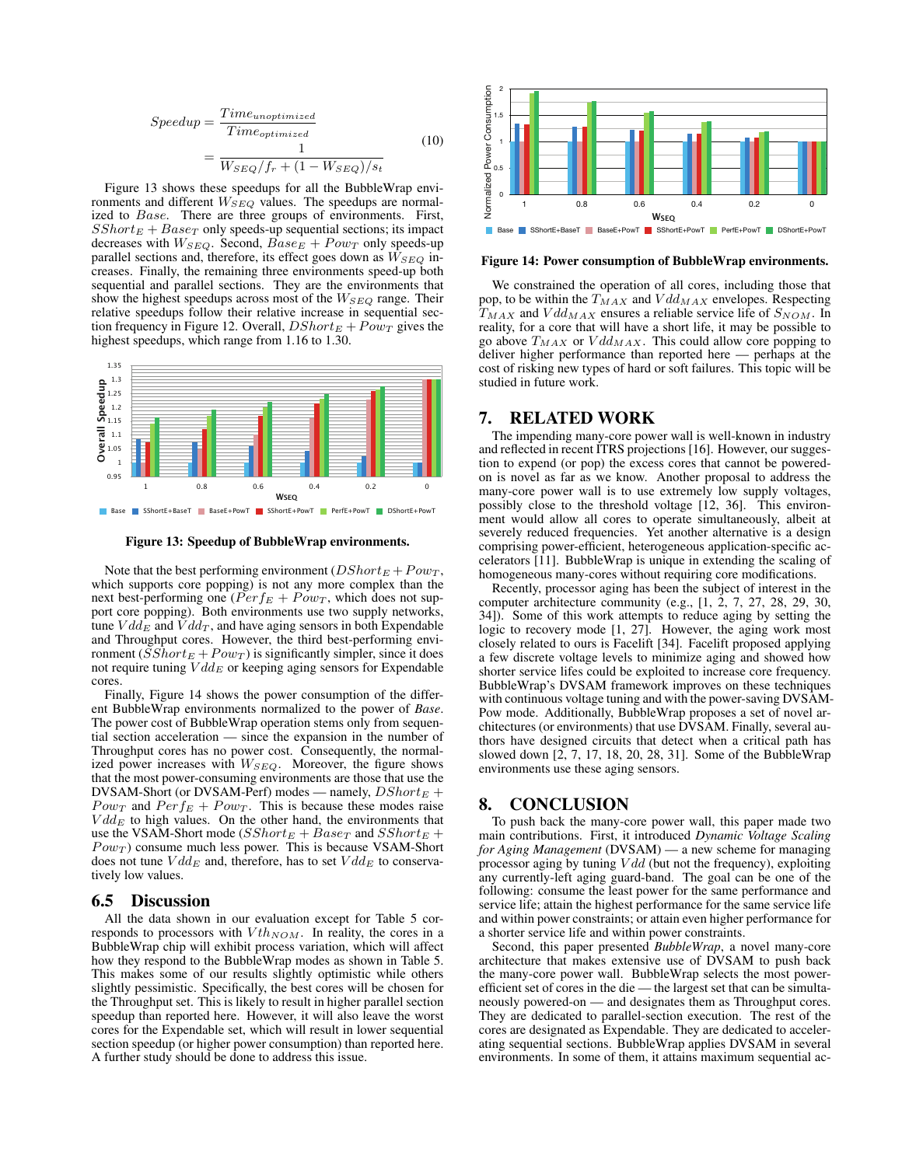$$
Speedup = \frac{Time_{unoptimized}}{Time_{optimized}}
$$

$$
= \frac{1}{W_{SEQ}/f_r + (1 - W_{SEQ})/s_t}
$$
(10)

Figure 13 shows these speedups for all the BubbleWrap environments and different  $W_{SEQ}$  values. The speedups are normalized to *Base*. There are three groups of environments. First,  $SShort_E + Base_T$  only speeds-up sequential sections; its impact decreases with  $W_{SEQ}$ . Second,  $Base_E + Power$  only speeds-up parallel sections and, therefore, its effect goes down as  $W_{SEQ}$  increases. Finally, the remaining three environments speed-up both sequential and parallel sections. They are the environments that show the highest speedups across most of the  $W_{SED}$  range. Their relative speedups follow their relative increase in sequential section frequency in Figure 12. Overall,  $DShort_E + Pow_T$  gives the highest speedups, which range from 1.16 to 1.30.



Figure 13: Speedup of BubbleWrap environments.

Note that the best performing environment ( $DShort_E + Pow_T$ , which supports core popping) is not any more complex than the next best-performing one ( $Perf_E + Pow_T$ , which does not support core popping). Both environments use two supply networks, tune  $V d d_E$  and  $V d d_T$ , and have aging sensors in both Expendable and Throughput cores. However, the third best-performing environment ( $\overline{SSh}ort_E + Pow_T$ ) is significantly simpler, since it does not require tuning  $V d d_E$  or keeping aging sensors for Expendable cores.

Finally, Figure 14 shows the power consumption of the different BubbleWrap environments normalized to the power of *Base*. The power cost of BubbleWrap operation stems only from sequential section acceleration — since the expansion in the number of Throughput cores has no power cost. Consequently, the normalized power increases with  $W_{SEQ}$ . Moreover, the figure shows that the most power-consuming environments are those that use the DVSAM-Short (or DVSAM-Perf) modes — namely,  $DShort_E +$ *Powr* and  $Perf_E + Pow_T$ . This is because these modes raise  $V d dE$  to high values. On the other hand, the environments that use the VSAM-Short mode ( $SShort_E + Base_T$  and  $SShort_E +$  $Pow<sub>T</sub>$ ) consume much less power. This is because VSAM-Short does not tune  $V d d_E$  and, therefore, has to set  $V d d_E$  to conservatively low values.

#### 6.5 Discussion

All the data shown in our evaluation except for Table 5 corresponds to processors with  $Vth_{NOM}$ . In reality, the cores in a BubbleWrap chip will exhibit process variation, which will affect how they respond to the BubbleWrap modes as shown in Table 5. This makes some of our results slightly optimistic while others slightly pessimistic. Specifically, the best cores will be chosen for the Throughput set. This is likely to result in higher parallel section speedup than reported here. However, it will also leave the worst cores for the Expendable set, which will result in lower sequential section speedup (or higher power consumption) than reported here. A further study should be done to address this issue.



#### Figure 14: Power consumption of BubbleWrap environments.

We constrained the operation of all cores, including those that pop, to be within the  $T_{MAX}$  and  $V d d_{MAX}$  envelopes. Respecting  $T_{MAX}$  and  $Vdd_{MAX}$  ensures a reliable service life of  $S_{NOM}$ . In reality, for a core that will have a short life, it may be possible to go above  $T_{MAX}$  or  $Vdd_{MAX}$ . This could allow core popping to deliver higher performance than reported here — perhaps at the cost of risking new types of hard or soft failures. This topic will be studied in future work.

#### 7. RELATED WORK

The impending many-core power wall is well-known in industry and reflected in recent ITRS projections [16]. However, our suggestion to expend (or pop) the excess cores that cannot be poweredon is novel as far as we know. Another proposal to address the many-core power wall is to use extremely low supply voltages, possibly close to the threshold voltage [12, 36]. This environment would allow all cores to operate simultaneously, albeit at severely reduced frequencies. Yet another alternative is a design comprising power-efficient, heterogeneous application-specific accelerators [11]. BubbleWrap is unique in extending the scaling of homogeneous many-cores without requiring core modifications.

Recently, processor aging has been the subject of interest in the computer architecture community (e.g., [1, 2, 7, 27, 28, 29, 30, 34]). Some of this work attempts to reduce aging by setting the logic to recovery mode [1, 27]. However, the aging work most closely related to ours is Facelift [34]. Facelift proposed applying a few discrete voltage levels to minimize aging and showed how shorter service lifes could be exploited to increase core frequency. BubbleWrap's DVSAM framework improves on these techniques with continuous voltage tuning and with the power-saving DVSAM-Pow mode. Additionally, BubbleWrap proposes a set of novel architectures (or environments) that use DVSAM. Finally, several authors have designed circuits that detect when a critical path has slowed down [2, 7, 17, 18, 20, 28, 31]. Some of the BubbleWrap environments use these aging sensors.

## 8. CONCLUSION

To push back the many-core power wall, this paper made two main contributions. First, it introduced *Dynamic Voltage Scaling for Aging Management* (DVSAM) — a new scheme for managing processor aging by tuning  $Vdd$  (but not the frequency), exploiting any currently-left aging guard-band. The goal can be one of the following: consume the least power for the same performance and service life; attain the highest performance for the same service life and within power constraints; or attain even higher performance for a shorter service life and within power constraints.

Second, this paper presented *BubbleWrap*, a novel many-core architecture that makes extensive use of DVSAM to push back the many-core power wall. BubbleWrap selects the most powerefficient set of cores in the die — the largest set that can be simultaneously powered-on — and designates them as Throughput cores. They are dedicated to parallel-section execution. The rest of the cores are designated as Expendable. They are dedicated to accelerating sequential sections. BubbleWrap applies DVSAM in several environments. In some of them, it attains maximum sequential ac